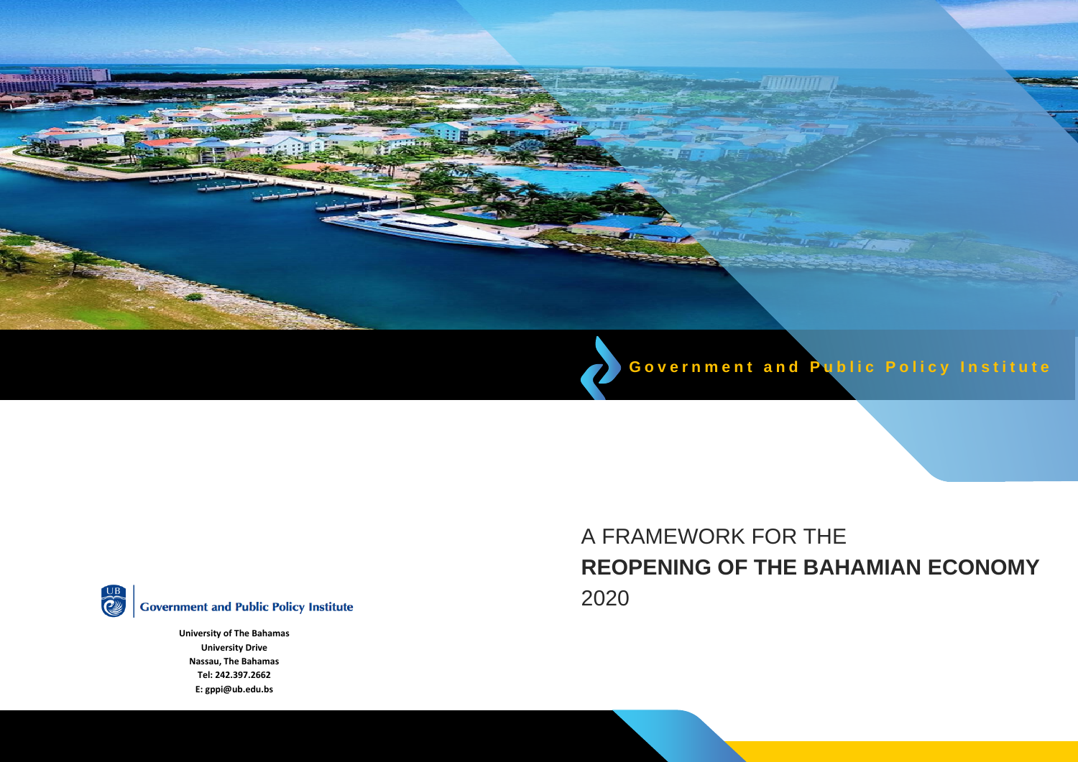# A FRAMEWORK FOR THE **REOPENING OF THE BAHAMIAN ECONOMY** 2020





**University of The Bahamas University Drive Nassau, The Bahamas Tel: 242.397.2662 E: gppi@ub.edu.bs**

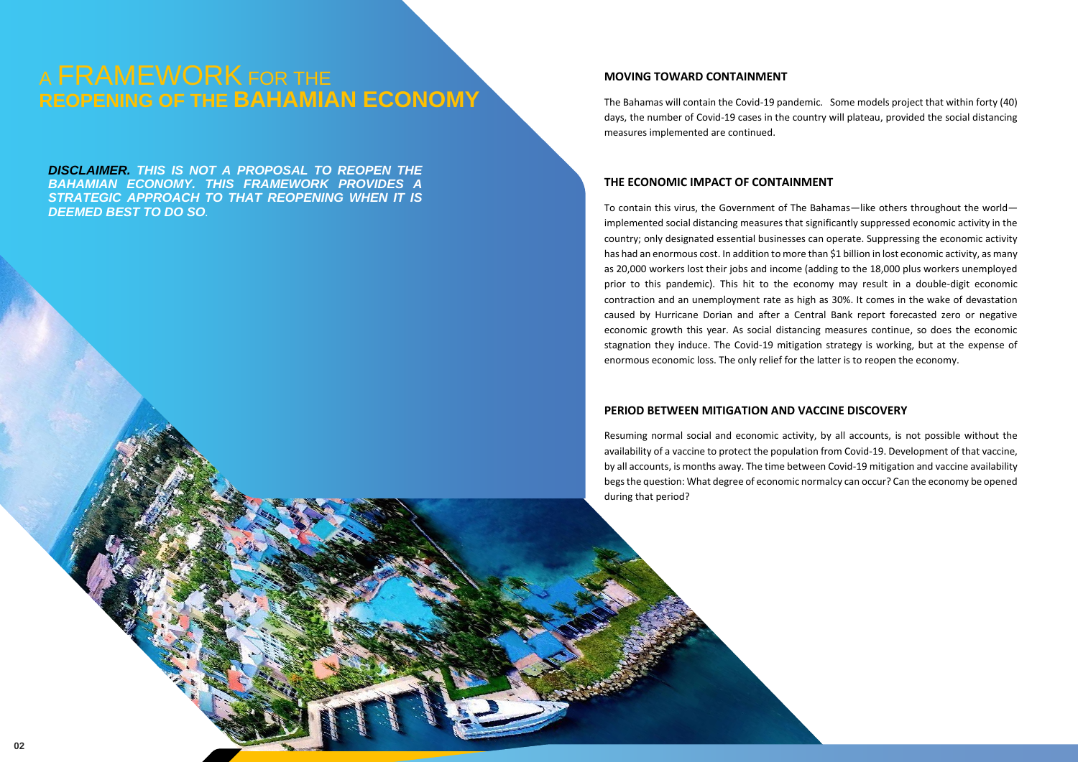# A  $\mathsf{FRAMEWORK}$  for the **REOPENING OF THE BAHAMIAN ECONOMY**

#### **MOVING TOWARD CONTAINMENT**

The Bahamas will contain the Covid-19 pandemic. Some models project that within forty (40) days, the number of Covid-19 cases in the country will plateau, provided the social distancing measures implemented are continued.

#### **THE ECONOMIC IMPACT OF CONTAINMENT**

To contain this virus, the Government of The Bahamas—like others throughout the world implemented social distancing measures that significantly suppressed economic activity in the country; only designated essential businesses can operate. Suppressing the economic activity has had an enormous cost. In addition to more than \$1 billion in lost economic activity, as many as 20,000 workers lost their jobs and income (adding to the 18,000 plus workers unemployed prior to this pandemic). This hit to the economy may result in a double-digit economic contraction and an unemployment rate as high as 30%. It comes in the wake of devastation caused by Hurricane Dorian and after a Central Bank report forecasted zero or negative economic growth this year. As social distancing measures continue, so does the economic stagnation they induce. The Covid-19 mitigation strategy is working, but at the expense of enormous economic loss. The only relief for the latter is to reopen the economy.

**DISCLAIMER. THIS IS NOT A PROPOSAL TO REOPEN THE** *BAHAMIAN ECONOMY. THIS FRAMEWORK PROVIDES A STRATEGIC APPROACH TO THAT REOPENING WHEN IT IS DEEMED BEST TO DO SO.*

#### **PERIOD BETWEEN MITIGATION AND VACCINE DISCOVERY**

Resuming normal social and economic activity, by all accounts, is not possible without the availability of a vaccine to protect the population from Covid-19. Development of that vaccine, by all accounts, is months away. The time between Covid-19 mitigation and vaccine availability begs the question: What degree of economic normalcy can occur? Can the economy be opened during that period?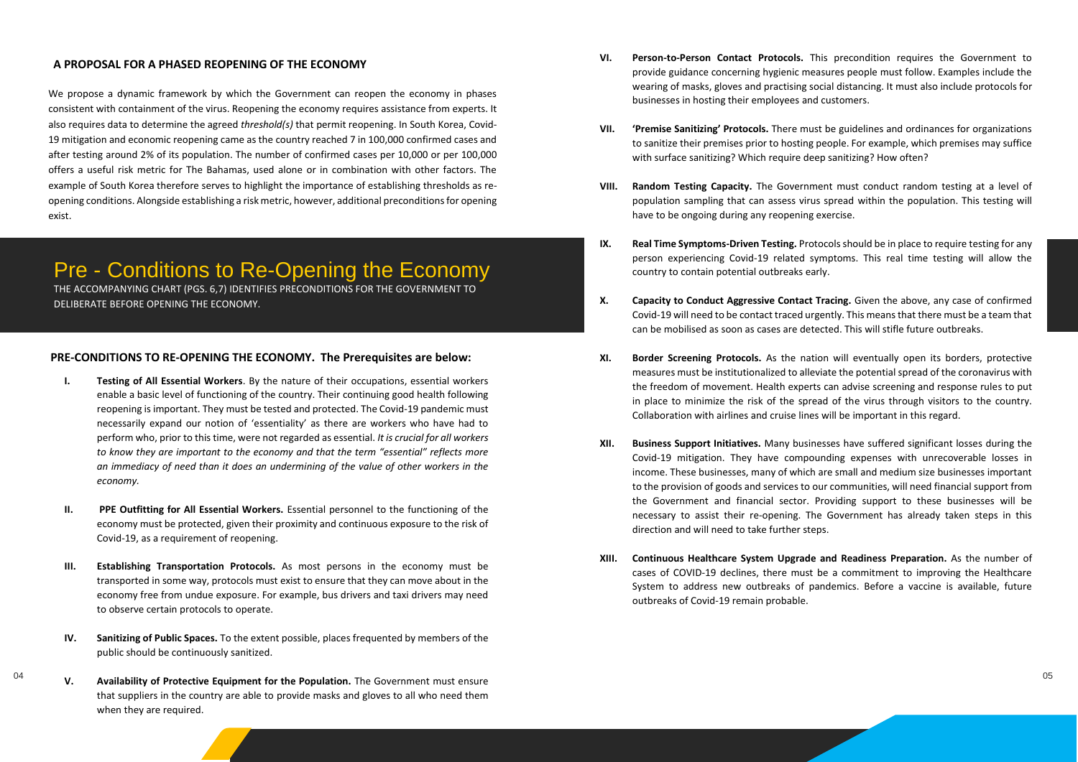#### **A PROPOSAL FOR A PHASED REOPENING OF THE ECONOMY**

We propose a dynamic framework by which the Government can reopen the economy in phases consistent with containment of the virus. Reopening the economy requires assistance from experts. It also requires data to determine the agreed *threshold(s)* that permit reopening. In South Korea, Covid-19 mitigation and economic reopening came as the country reached 7 in 100,000 confirmed cases and after testing around 2% of its population. The number of confirmed cases per 10,000 or per 100,000 offers a useful risk metric for The Bahamas, used alone or in combination with other factors. The example of South Korea therefore serves to highlight the importance of establishing thresholds as reopening conditions. Alongside establishing a risk metric, however, additional preconditions for opening exist.

## Pre - Conditions to Re-Opening the Economy

THE ACCOMPANYING CHART (PGS. 6,7) IDENTIFIES PRECONDITIONS FOR THE GOVERNMENT TO DELIBERATE BEFORE OPENING THE ECONOMY.

#### **PRE-CONDITIONS TO RE-OPENING THE ECONOMY. The Prerequisites are below:**

- **I. Testing of All Essential Workers**. By the nature of their occupations, essential workers enable a basic level of functioning of the country. Their continuing good health following reopening is important. They must be tested and protected. The Covid-19 pandemic must necessarily expand our notion of 'essentiality' as there are workers who have had to perform who, prior to this time, were not regarded as essential. *It is crucial for all workers to know they are important to the economy and that the term "essential" reflects more an immediacy of need than it does an undermining of the value of other workers in the economy.*
- **II. PPE Outfitting for All Essential Workers.** Essential personnel to the functioning of the economy must be protected, given their proximity and continuous exposure to the risk of Covid-19, as a requirement of reopening.
- **III. Establishing Transportation Protocols.** As most persons in the economy must be transported in some way, protocols must exist to ensure that they can move about in the economy free from undue exposure. For example, bus drivers and taxi drivers may need to observe certain protocols to operate.
- **IV. Sanitizing of Public Spaces.** To the extent possible, places frequented by members of the public should be continuously sanitized.
- **V. Availability of Protective Equipment for the Population.** The Government must ensure 04 05 that suppliers in the country are able to provide masks and gloves to all who need them when they are required.

**VI. Person-to-Person Contact Protocols.** This precondition requires the Government to provide guidance concerning hygienic measures people must follow. Examples include the wearing of masks, gloves and practising social distancing. It must also include protocols for

**VII. 'Premise Sanitizing' Protocols.** There must be guidelines and ordinances for organizations to sanitize their premises prior to hosting people. For example, which premises may suffice

**VIII. Random Testing Capacity.** The Government must conduct random testing at a level of population sampling that can assess virus spread within the population. This testing will

**IX. Real Time Symptoms-Driven Testing.** Protocols should be in place to require testing for any person experiencing Covid-19 related symptoms. This real time testing will allow the

**X. Capacity to Conduct Aggressive Contact Tracing.** Given the above, any case of confirmed Covid-19 will need to be contact traced urgently. This means that there must be a team that

- businesses in hosting their employees and customers.
- with surface sanitizing? Which require deep sanitizing? How often?
- have to be ongoing during any reopening exercise.
- country to contain potential outbreaks early.
- can be mobilised as soon as cases are detected. This will stifle future outbreaks.
- Collaboration with airlines and cruise lines will be important in this regard.
- direction and will need to take further steps.
- outbreaks of Covid-19 remain probable.

**XI. Border Screening Protocols.** As the nation will eventually open its borders, protective measures must be institutionalized to alleviate the potential spread of the coronavirus with the freedom of movement. Health experts can advise screening and response rules to put in place to minimize the risk of the spread of the virus through visitors to the country.

**XII. Business Support Initiatives.** Many businesses have suffered significant losses during the Covid-19 mitigation. They have compounding expenses with unrecoverable losses in income. These businesses, many of which are small and medium size businesses important to the provision of goods and services to our communities, will need financial support from the Government and financial sector. Providing support to these businesses will be necessary to assist their re-opening. The Government has already taken steps in this

**XIII. Continuous Healthcare System Upgrade and Readiness Preparation.** As the number of cases of COVID-19 declines, there must be a commitment to improving the Healthcare System to address new outbreaks of pandemics. Before a vaccine is available, future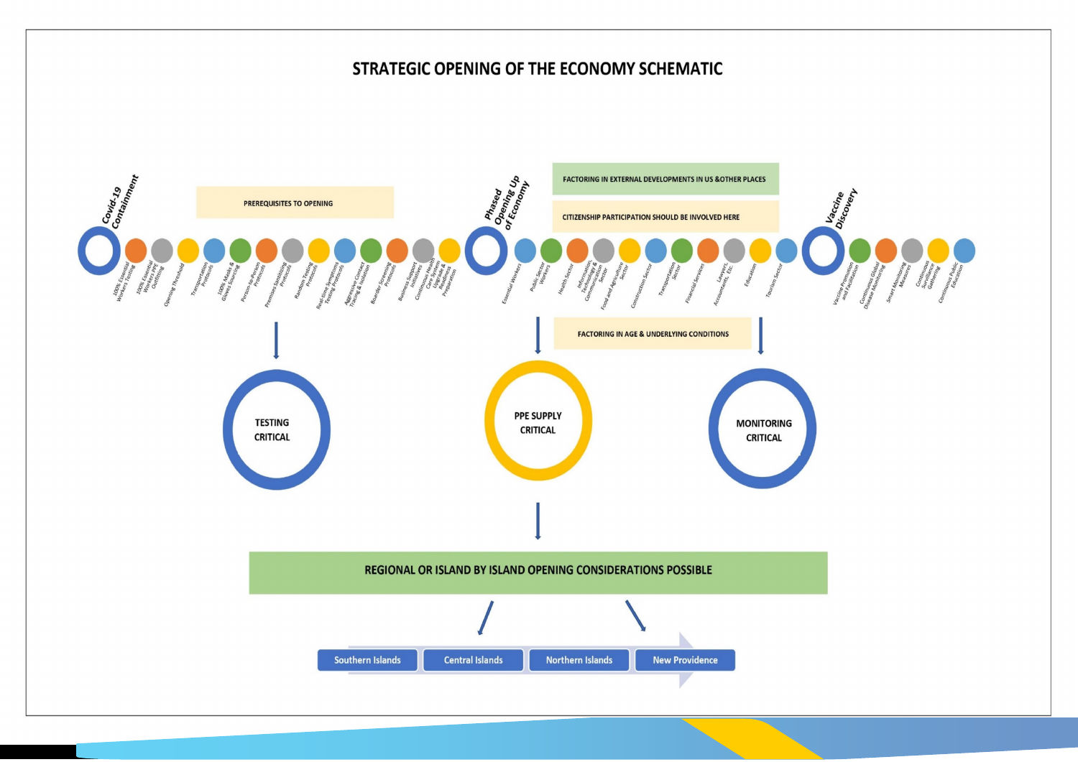## STRATEGIC OPENING OF THE ECONOMY SCHEMATIC Cowid-19<br>Comtainment Phased<br>Openinged<br>of Economy **FACTORING IN EXTERNAL DEVELOPMENTS IN US &OTHER PLACES PREREQUISITES TO OPENING CITIZENSHIP PARTICIPATION SHOULD BE INVOLVED HERE** 100% Essential er Screening<br>Protocoling Tes Support<br>Initiatives<br>Univous Messian<br>Checkenatives<br>Restaures Transportation blic Secto 100% Masks essive Conta<br>18 & Isolatina ing Th<sub>reshe</sub> on-to-per es Santifi **FACTORING IN AGE & UNDERLYING CONDITIONS PPE SUPPLY TESTING MONITORING CRITICAL CRITICAL CRITICAL** REGIONAL OR ISLAND BY ISLAND OPENING CONSIDERATIONS POSSIBLE **New Providence Central Islands Northern Islands Southern Islands**

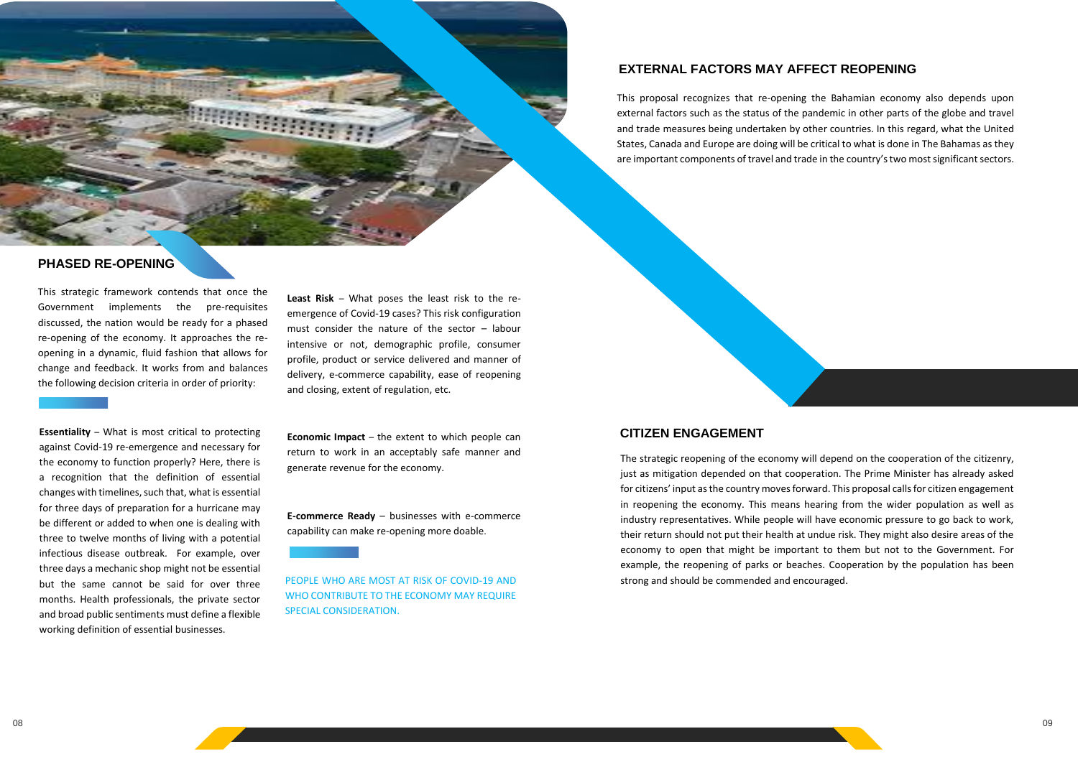### **EXTERNAL FACTORS MAY AFFECT REOPENING**

This proposal recognizes that re-opening the Bahamian economy also depends upon external factors such as the status of the pandemic in other parts of the globe and travel and trade measures being undertaken by other countries. In this regard, what the United States, Canada and Europe are doing will be critical to what is done in The Bahamas as they are important components of travel and trade in the country's two most significant sectors.

The strategic reopening of the economy will depend on the cooperation of the citizenry, just as mitigation depended on that cooperation. The Prime Minister has already asked for citizens' input as the country moves forward. This proposal calls for citizen engagement in reopening the economy. This means hearing from the wider population as well as industry representatives. While people will have economic pressure to go back to work, their return should not put their health at undue risk. They might also desire areas of the economy to open that might be important to them but not to the Government. For example, the reopening of parks or beaches. Cooperation by the population has been strong and should be commended and encouraged.

#### **PHASED RE-OPENING**

This strategic framework contends that once the Government implements the pre-requisites discussed, the nation would be ready for a phased re-opening of the economy. It approaches the reopening in a dynamic, fluid fashion that allows for change and feedback. It works from and balances the following decision criteria in order of priority:

> PEOPLE WHO ARE MOST AT RISK OF COVID-19 AND WHO CONTRIBUTE TO THE ECONOMY MAY REQUIRE SPECIAL CONSIDERATION.

**Essentiality** – What is most critical to protecting against Covid-19 re-emergence and necessary for the economy to function properly? Here, there is a recognition that the definition of essential changes with timelines, such that, what is essential for three days of preparation for a hurricane may be different or added to when one is dealing with three to twelve months of living with a potential infectious disease outbreak. For example, over three days a mechanic shop might not be essential but the same cannot be said for over three months. Health professionals, the private sector and broad public sentiments must define a flexible working definition of essential businesses.

**Least Risk** – What poses the least risk to the reemergence of Covid-19 cases? This risk configuration must consider the nature of the sector – labour intensive or not, demographic profile, consumer profile, product or service delivered and manner of delivery, e-commerce capability, ease of reopening and closing, extent of regulation, etc.

**Economic Impact** – the extent to which people can return to work in an acceptably safe manner and generate revenue for the economy.

**E-commerce Ready** – businesses with e-commerce capability can make re-opening more doable.



#### **CITIZEN ENGAGEMENT**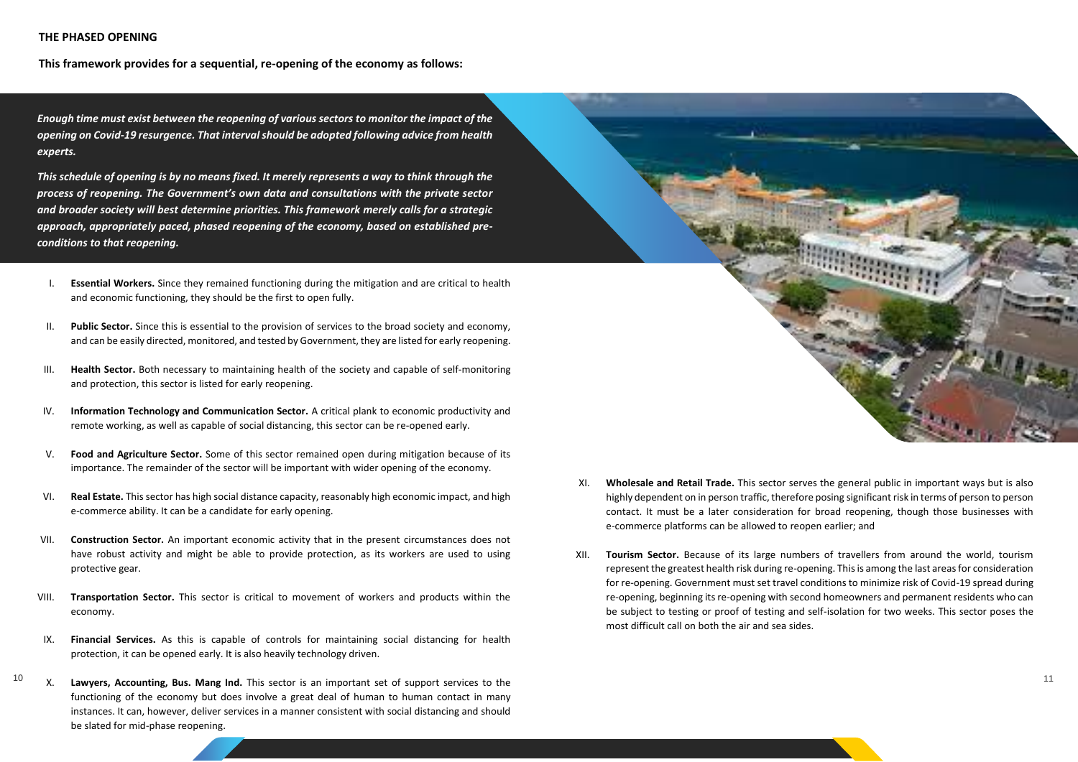#### **THE PHASED OPENING**

**This framework provides for a sequential, re-opening of the economy as follows:** 

- I. **Essential Workers.** Since they remained functioning during the mitigation and are critical to health and economic functioning, they should be the first to open fully.
- II. **Public Sector.** Since this is essential to the provision of services to the broad society and economy, and can be easily directed, monitored, and tested by Government, they are listed for early reopening.
- III. **Health Sector.** Both necessary to maintaining health of the society and capable of self-monitoring and protection, this sector is listed for early reopening.
- IV. **Information Technology and Communication Sector.** A critical plank to economic productivity and remote working, as well as capable of social distancing, this sector can be re-opened early.
- V. **Food and Agriculture Sector.** Some of this sector remained open during mitigation because of its importance. The remainder of the sector will be important with wider opening of the economy.
- VI. **Real Estate.** This sector has high social distance capacity, reasonably high economic impact, and high e-commerce ability. It can be a candidate for early opening.
- VII. **Construction Sector.** An important economic activity that in the present circumstances does not have robust activity and might be able to provide protection, as its workers are used to using protective gear.
- VIII. **Transportation Sector.** This sector is critical to movement of workers and products within the economy.
- IX. **Financial Services.** As this is capable of controls for maintaining social distancing for health protection, it can be opened early. It is also heavily technology driven.
- <sup>10</sup> X. Lawyers, Accounting, Bus. Mang Ind. This sector is an important set of support services to the **11** and the total of the **11** and the sector of the set of support services to the set of support services to the set functioning of the economy but does involve a great deal of human to human contact in many instances. It can, however, deliver services in a manner consistent with social distancing and should be slated for mid-phase reopening.

*Enough time must exist between the reopening of various sectors to monitor the impact of the opening on Covid-19 resurgence. That interval should be adopted following advice from health experts.* 

*This schedule of opening is by no means fixed. It merely represents a way to think through the process of reopening. The Government's own data and consultations with the private sector and broader society will best determine priorities. This framework merely calls for a strategic approach, appropriately paced, phased reopening of the economy, based on established preconditions to that reopening.*

> XI. **Wholesale and Retail Trade.** This sector serves the general public in important ways but is also highly dependent on in person traffic, therefore posing significant risk in terms of person to person contact. It must be a later consideration for broad reopening, though those businesses with

- e-commerce platforms can be allowed to reopen earlier; and
- most difficult call on both the air and sea sides.



XII. **Tourism Sector.** Because of its large numbers of travellers from around the world, tourism represent the greatest health risk during re-opening. This is among the last areas for consideration for re-opening. Government must set travel conditions to minimize risk of Covid-19 spread during re-opening, beginning its re-opening with second homeowners and permanent residents who can be subject to testing or proof of testing and self-isolation for two weeks. This sector poses the

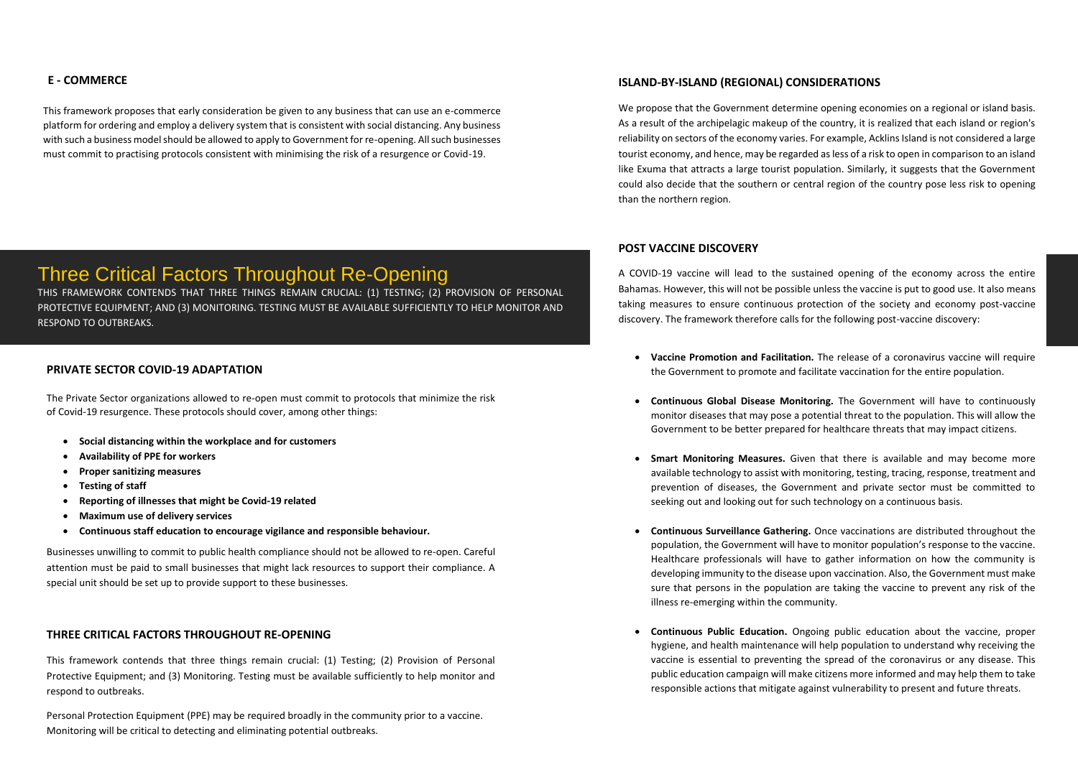This framework proposes that early consideration be given to any business that can use an e-commerce platform for ordering and employ a delivery system that is consistent with social distancing. Any business with such a business model should be allowed to apply to Government for re-opening. All such businesses must commit to practising protocols consistent with minimising the risk of a resurgence or Covid-19.

#### **ISLAND-BY-ISLAND (REGIONAL) CONSIDERATIONS**

We propose that the Government determine opening economies on a regional or island basis. As a result of the archipelagic makeup of the country, it is realized that each island or region's reliability on sectors of the economy varies. For example, Acklins Island is not considered a large tourist economy, and hence, may be regarded as less of a risk to open in comparison to an island like Exuma that attracts a large tourist population. Similarly, it suggests that the Government could also decide that the southern or central region of the country pose less risk to opening than the northern region.

#### **POST VACCINE DISCOVERY**

A COVID-19 vaccine will lead to the sustained opening of the economy across the entire Bahamas. However, this will not be possible unless the vaccine is put to good use. It also means taking measures to ensure continuous protection of the society and economy post-vaccine discovery. The framework therefore calls for the following post-vaccine discovery:

• **Vaccine Promotion and Facilitation.** The release of a coronavirus vaccine will require the Government to promote and facilitate vaccination for the entire population.

• **Continuous Global Disease Monitoring.** The Government will have to continuously monitor diseases that may pose a potential threat to the population. This will allow the Government to be better prepared for healthcare threats that may impact citizens.

• **Smart Monitoring Measures.** Given that there is available and may become more available technology to assist with monitoring, testing, tracing, response, treatment and prevention of diseases, the Government and private sector must be committed to

- 
- 
- seeking out and looking out for such technology on a continuous basis.
- illness re-emerging within the community.
- 

• **Continuous Surveillance Gathering.** Once vaccinations are distributed throughout the population, the Government will have to monitor population's response to the vaccine. Healthcare professionals will have to gather information on how the community is developing immunity to the disease upon vaccination. Also, the Government must make sure that persons in the population are taking the vaccine to prevent any risk of the

• **Continuous Public Education.** Ongoing public education about the vaccine, proper hygiene, and health maintenance will help population to understand why receiving the vaccine is essential to preventing the spread of the coronavirus or any disease. This public education campaign will make citizens more informed and may help them to take responsible actions that mitigate against vulnerability to present and future threats.

#### **E - COMMERCE**

#### **PRIVATE SECTOR COVID-19 ADAPTATION**

The Private Sector organizations allowed to re-open must commit to protocols that minimize the risk of Covid-19 resurgence. These protocols should cover, among other things:

- **Social distancing within the workplace and for customers**
- **Availability of PPE for workers**
- **Proper sanitizing measures**
- **Testing of staff**
- **Reporting of illnesses that might be Covid-19 related**
- **Maximum use of delivery services**
- **Continuous staff education to encourage vigilance and responsible behaviour.**

Businesses unwilling to commit to public health compliance should not be allowed to re-open. Careful attention must be paid to small businesses that might lack resources to support their compliance. A special unit should be set up to provide support to these businesses.

#### **THREE CRITICAL FACTORS THROUGHOUT RE-OPENING**

This framework contends that three things remain crucial: (1) Testing; (2) Provision of Personal Protective Equipment; and (3) Monitoring. Testing must be available sufficiently to help monitor and respond to outbreaks.

Personal Protection Equipment (PPE) may be required broadly in the community prior to a vaccine. Monitoring will be critical to detecting and eliminating potential outbreaks.

# Three Critical Factors Throughout Re-Opening

THIS FRAMEWORK CONTENDS THAT THREE THINGS REMAIN CRUCIAL: (1) TESTING; (2) PROVISION OF PERSONAL PROTECTIVE EQUIPMENT; AND (3) MONITORING. TESTING MUST BE AVAILABLE SUFFICIENTLY TO HELP MONITOR AND RESPOND TO OUTBREAKS.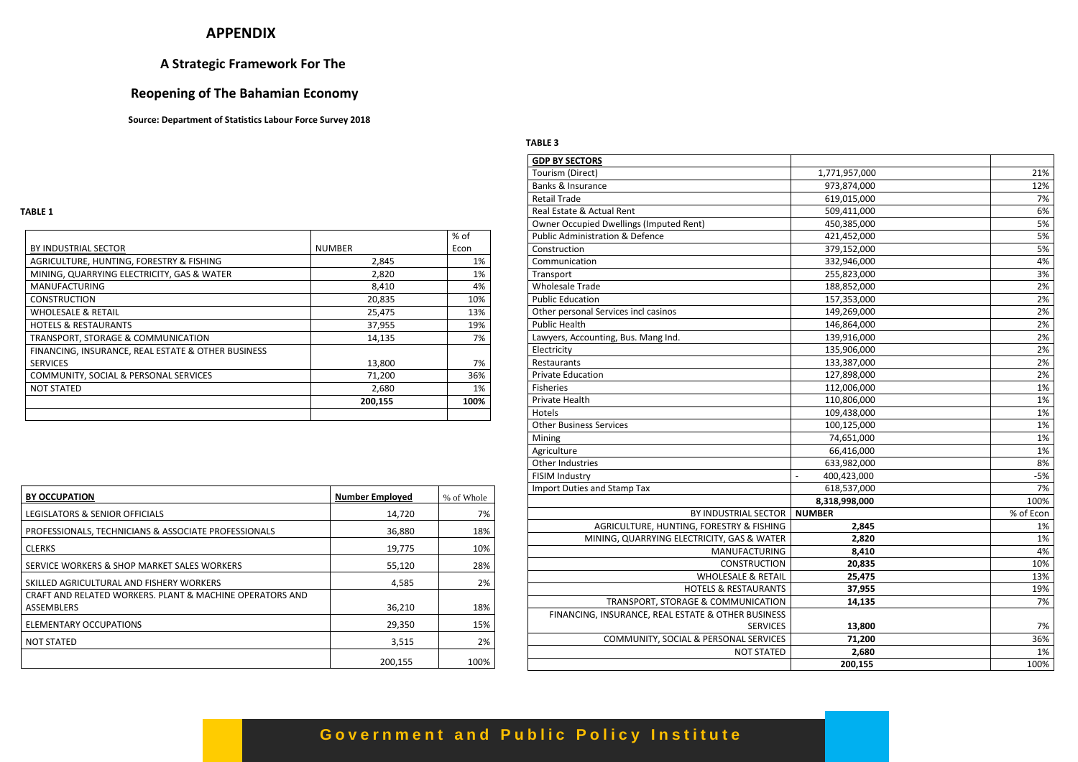#### **APPENDIX**

### **A Strategic Framework For The**

### **Reopening of The Bahamian Economy**

 **Source: Department of Statistics Labour Force Survey 2018** 

#### **TABLE 3**

#### **TABLE 1**

| <b>GDP BY SECTORS</b>                              |               |           |
|----------------------------------------------------|---------------|-----------|
| Tourism (Direct)                                   | 1,771,957,000 | 21%       |
| Banks & Insurance                                  | 973,874,000   | 12%       |
| <b>Retail Trade</b>                                | 619,015,000   | 7%        |
| Real Estate & Actual Rent                          | 509,411,000   | 6%        |
| <b>Owner Occupied Dwellings (Imputed Rent)</b>     | 450,385,000   | 5%        |
| <b>Public Administration &amp; Defence</b>         | 421,452,000   | 5%        |
| Construction                                       | 379,152,000   | 5%        |
| Communication                                      | 332,946,000   | 4%        |
| Transport                                          | 255,823,000   | 3%        |
| <b>Wholesale Trade</b>                             | 188,852,000   | 2%        |
| <b>Public Education</b>                            | 157,353,000   | 2%        |
| Other personal Services incl casinos               | 149,269,000   | 2%        |
| <b>Public Health</b>                               | 146,864,000   | 2%        |
| Lawyers, Accounting, Bus. Mang Ind.                | 139,916,000   | 2%        |
| Electricity                                        | 135,906,000   | 2%        |
| Restaurants                                        | 133,387,000   | 2%        |
| <b>Private Education</b>                           | 127,898,000   | 2%        |
| Fisheries                                          | 112,006,000   | 1%        |
| Private Health                                     | 110,806,000   | 1%        |
| Hotels                                             | 109,438,000   | 1%        |
| <b>Other Business Services</b>                     | 100,125,000   | 1%        |
| Mining                                             | 74,651,000    | 1%        |
| Agriculture                                        | 66,416,000    | 1%        |
| Other Industries                                   | 633,982,000   | 8%        |
| <b>FISIM Industry</b>                              | 400,423,000   | $-5%$     |
| Import Duties and Stamp Tax                        | 618,537,000   | 7%        |
|                                                    | 8,318,998,000 | 100%      |
| BY INDUSTRIAL SECTOR                               | <b>NUMBER</b> | % of Econ |
| AGRICULTURE, HUNTING, FORESTRY & FISHING           | 2,845         | 1%        |
| MINING, QUARRYING ELECTRICITY, GAS & WATER         | 2,820         | 1%        |
| <b>MANUFACTURING</b>                               | 8,410         | 4%        |
| <b>CONSTRUCTION</b>                                | 20,835        | 10%       |
| <b>WHOLESALE &amp; RETAIL</b>                      | 25,475        | 13%       |
| <b>HOTELS &amp; RESTAURANTS</b>                    | 37,955        | 19%       |
| TRANSPORT, STORAGE & COMMUNICATION                 | 14,135        | 7%        |
| FINANCING, INSURANCE, REAL ESTATE & OTHER BUSINESS |               |           |
| <b>SERVICES</b>                                    | 13,800        | 7%        |
| COMMUNITY, SOCIAL & PERSONAL SERVICES              | 71,200        | 36%       |
| <b>NOT STATED</b>                                  | 2,680         | 1%        |
|                                                    | 200,155       | 100%      |

|                                                    |               | % of |
|----------------------------------------------------|---------------|------|
| BY INDUSTRIAL SECTOR                               | <b>NUMBER</b> | Econ |
| AGRICULTURE, HUNTING, FORESTRY & FISHING           | 2,845         | 1%   |
| MINING, QUARRYING ELECTRICITY, GAS & WATER         | 2,820         | 1%   |
| <b>MANUFACTURING</b>                               | 8,410         | 4%   |
| <b>CONSTRUCTION</b>                                | 20,835        | 10%  |
| <b>WHOLESALE &amp; RETAIL</b>                      | 25,475        | 13%  |
| <b>HOTELS &amp; RESTAURANTS</b>                    | 37,955        | 19%  |
| TRANSPORT, STORAGE & COMMUNICATION                 | 14,135        | 7%   |
| FINANCING, INSURANCE, REAL ESTATE & OTHER BUSINESS |               |      |
| <b>SERVICES</b>                                    | 13,800        | 7%   |
| COMMUNITY, SOCIAL & PERSONAL SERVICES              | 71,200        | 36%  |
| <b>NOT STATED</b>                                  | 2,680         | 1%   |
|                                                    | 200,155       | 100% |
|                                                    |               |      |

| <b>BY OCCUPATION</b>                                     | <b>Number Employed</b> | % of Whole |
|----------------------------------------------------------|------------------------|------------|
| LEGISLATORS & SENIOR OFFICIALS                           | 14,720                 | 7%         |
| PROFESSIONALS, TECHNICIANS & ASSOCIATE PROFESSIONALS     | 36,880                 | 18%        |
| <b>CLERKS</b>                                            | 19,775                 | 10%        |
| SERVICE WORKERS & SHOP MARKET SALES WORKERS              | 55,120                 | 28%        |
| SKILLED AGRICULTURAL AND FISHERY WORKERS                 | 4,585                  | 2%         |
| CRAFT AND RELATED WORKERS. PLANT & MACHINE OPERATORS AND |                        |            |
| <b>ASSEMBLERS</b>                                        | 36,210                 | 18%        |
| <b>ELEMENTARY OCCUPATIONS</b>                            | 29,350                 | 15%        |
| <b>NOT STATED</b>                                        | 3,515                  | 2%         |
|                                                          | 200,155                | 100%       |